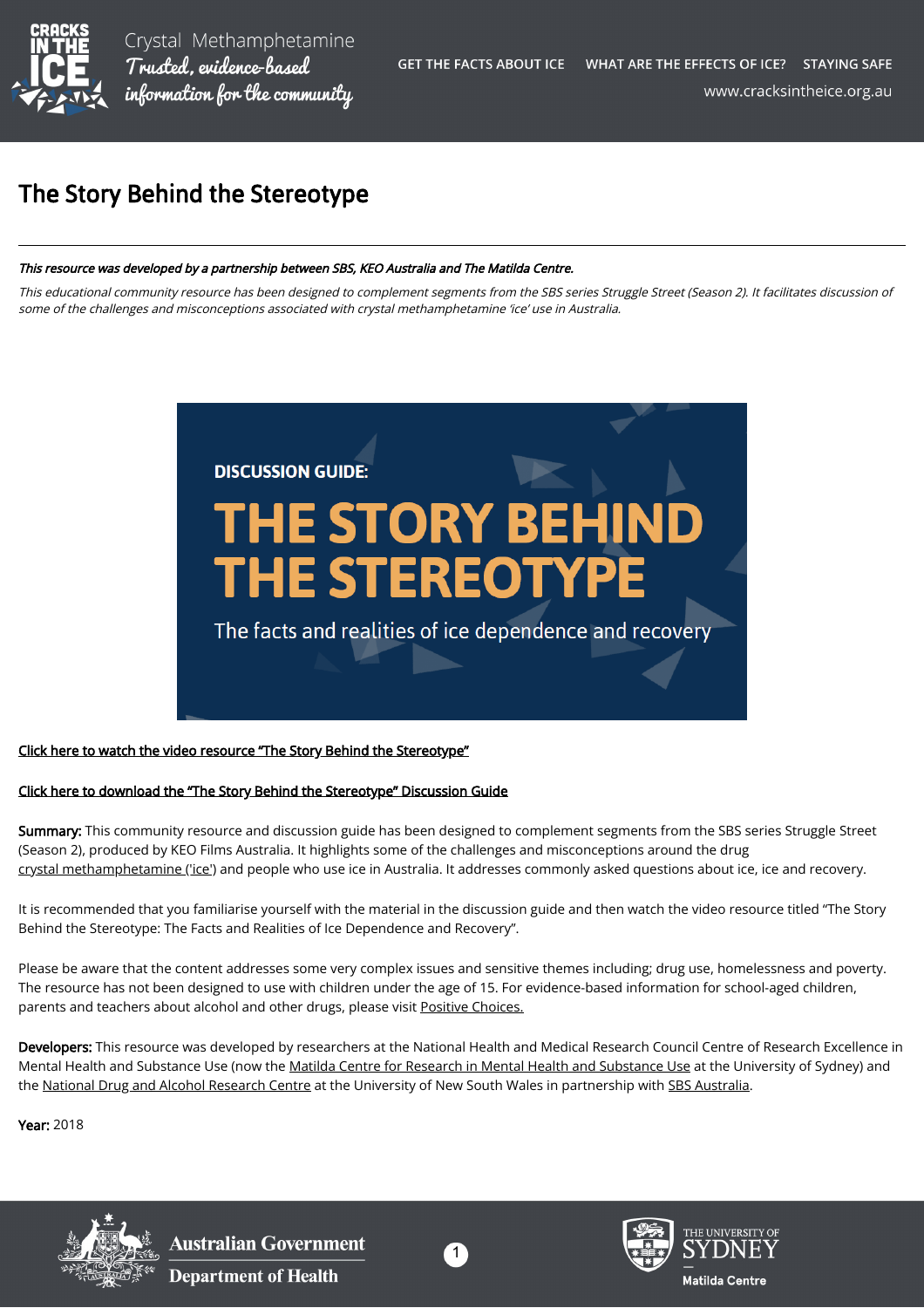

Crystal Methamphetamine Trusted, evidence-based information for the community

## The Story Behind the Stereotype

## This resource was developed by a partnership between SBS, KEO Australia and The Matilda Centre.

This educational community resource has been designed to complement segments from the SBS series Struggle Street (Season 2). It facilitates discussion of some of the challenges and misconceptions associated with crystal methamphetamine 'ice' use in Australia.



## [Click here to watch the video resource "The Story Behind the Stereotype"](https://www.sbs.com.au/ondemand/video/1276109379791)

## [Click here to download the "The Story Behind the Stereotype" Discussion Guide](https://cracksintheice.org.au/pdf/StruggleStreet_CommunityResource.pdf)

Summary: This community resource and discussion guide has been designed to complement segments from the SBS series Struggle Street (Season 2), produced by KEO Films Australia. It highlights some of the challenges and misconceptions around the drug [crystal methamphetamine \('ice'\)](https://cracksintheice.org.au/what-is-ice) and people who use ice in Australia. It addresses commonly asked questions about ice, ice and recovery.

It is recommended that you familiarise yourself with the material in the discussion guide and then watch the video resource titled "The Story Behind the Stereotype: The Facts and Realities of Ice Dependence and Recovery".

Please be aware that the content addresses some very complex issues and sensitive themes including; drug use, homelessness and poverty. The resource has not been designed to use with children under the age of 15. For evidence-based information for school-aged children, parents and teachers about alcohol and other drugs, please visit [Positive Choices.](https://positivechoices.org.au/)

Developers: This resource was developed by researchers at the National Health and Medical Research Council Centre of Research Excellence in Mental Health and Substance Use (now the [Matilda Centre for Research in Mental Health and Substance Use](https://sydney.edu.au/research/centres/matilda-centre.html) at the University of Sydney) and the [National Drug and Alcohol Research Centre](https://ndarc.med.unsw.edu.au/) at the University of New South Wales in partnership with [SBS Australia.](https://www.sbs.com.au/)

Year: 2018



**Australian Government Department of Health**